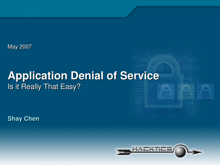May 2007

#### **Application Denial of Service**Is it Really That Easy?

**Shay Chen**



Copyright © 2005-2007. All Rights Reserved to Hacktics Ltd.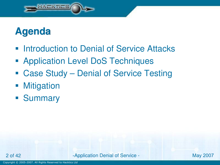

## **Agenda**

- **Introduction to Denial of Service Attacks**
- **Application Level DoS Techniques**
- Case Study Denial of Service Testing
- $\mathbb{R}^2$ **Mitigation**
- Summary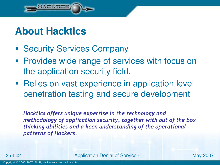

#### **About Hacktics**

- **Security Services Company**
- **Provides wide range of services with focus on** the application security field.
- **Relies on vast experience in application level** penetration testing and secure development

Hacktics offers unique expertise in the technology and methodology of application security, together with out of the box thinking abilities and a keen understanding of the operational patterns of Hackers.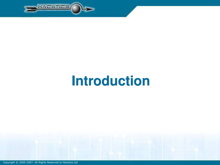

## **Introduction**



Copyright © 2005-2007. All Rights Reserved to Hacktics Ltd.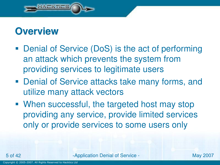

#### **Overview**

- Denial of Service (DoS) is the act of performing an attack which prevents the system from providing services to legitimate users
- Denial of Service attacks take many forms, and utilize many attack vectors
- When successful, the targeted host may stop providing any service, provide limited services only or provide services to some users only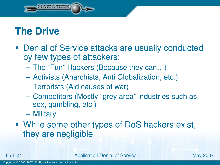

#### **The Drive**

- **Denial of Service attacks are usually conducted** by few types of attackers:
	- The "Fun" Hackers (Because they can…)
	- Activists (Anarchists, Anti Globalization, etc.)
	- Terrorists (Aid causes of war)
	- Competitors (Mostly "grey area" industries such as sex, gambling, etc.)
	- Military
- While some other types of DoS hackers exist, they are negligible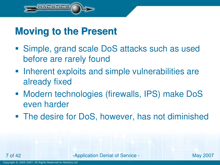

#### **Moving to the Present**

- Simple, grand scale DoS attacks such as used before are rarely found
- **Inherent exploits and simple vulnerabilities are** already fixed
- Modern technologies (firewalls, IPS) make DoSeven harder
- **The desire for DoS, however, has not diminished**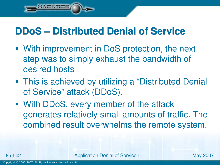#### **DDoS – Distributed Denial of Service**

- With improvement in DoS protection, the next step was to simply exhaust the bandwidth of desired hosts
- This is achieved by utilizing a "Distributed Denial of Service" attack (DDoS).
- With DDoS, every member of the attack generates relatively small amounts of traffic. The combined result overwhelms the remote system.

**Application Denial of Service - May 2007** 

**SAUTH**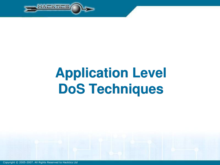

## **Application Level DoS Techniques**

Copyright © 2005-2007. All Rights Reserved to Hacktics Ltd.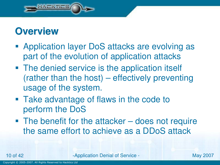

#### **Overview**

- **Application layer DoS attacks are evolving as** part of the evolution of application attacks
- The denied service is the application itself (rather than the host) – effectively preventing usage of the system.
- Take advantage of flaws in the code to perform the DoS
- The benefit for the attacker does not require the same effort to achieve as a DDoS attack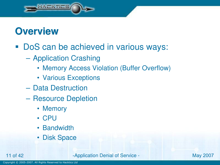

#### **Overview**

## DoS can be achieved in various ways:

- Application Crashing
	- Memory Access Violation (Buffer Overflow)
	- Various Exceptions
- Data Destruction
- Resource Depletion
	- Memory
	- CPU
	- Bandwidth
	- Disk Space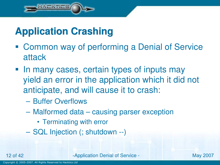

## **Application Crashing**

- Common way of performing a Denial of Service attack
- In many cases, certain types of inputs may yield an error in the application which it did not anticipate, and will cause it to crash:
	- Buffer Overflows
	- Malformed data causing parser exception
		- Terminating with error
	- SQL Injection (; shutdown --)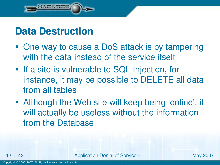

#### **Data Destruction**

- One way to cause a DoS attack is by tampering with the data instead of the service itself
- **If a site is vulnerable to SQL Injection, for** instance, it may be possible to DELETE all data from all tables
- Although the Web site will keep being 'online', it will actually be useless without the information from the Database

**Application Denial of Service - May 2007**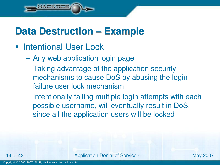

#### **Data Destruction – Example**

- **Intentional User Lock** 
	- Any web application login page
	- Taking advantage of the application security mechanisms to cause DoS by abusing the login failure user lock mechanism
	- Intentionally failing multiple login attempts with each possible username, will eventually result in DoS, since all the application users will be locked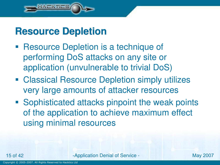

#### **Resource Depletion**

- **Resource Depletion is a technique of** performing DoS attacks on any site or application (unvulnerable to trivial DoS)
- **Classical Resource Depletion simply utilizes** very large amounts of attacker resources
- **Sophisticated attacks pinpoint the weak points** of the application to achieve maximum effect using minimal resources

**Application Denial of Service - May 2007**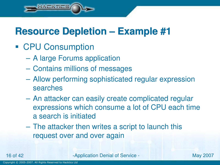CPU Consumption

LATES

- A large Forums application
- Contains millions of messages
- Allow performing sophisticated regular expression searches
- An attacker can easily create complicated regular expressions which consume a lot of CPU each time a search is initiated
- The attacker then writes a script to launch this request over and over again

**Application Denial of Service - May 2007**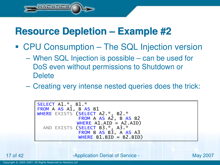**WERTHER** 

- CPU Consumption The SQL Injection version
	- When SQL Injection is possible can be used for DoS even without permissions to Shutdown or **Delete**
	- Creating very intense nested queries does the trick:

```
SELECT A1.*, B1.*<br>FROM A AS A<sup>1</sup>. B AS
FROM A AS A1, B AS B1<br>WIERE EXISTS (SELECT
WHERE EXISTS (SELECT A2.*, B2.*<br>FROM A AS A<sup>2</sup> B AS
                          FROM A AS A2, B AS B2
                         WHERE A1.AID = A2.AID)
   AND EXISTS (SELECT B3.*, A3.*<br>FROM B AS B<sup>2</sup> A AS
                          FROM B AS B3, A AS A3
                          \underline{\textsf{WHERE}} B1.\texttt{BID} = \texttt{B2.BID})
```
**Application Denial of Service - May 2007**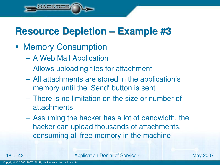**• Memory Consumption** 

 $F = F \cup F$ 

- A Web Mail Application
- Allows uploading files for attachment
- All attachments are stored in the application's memory until the 'Send' button is sent
- There is no limitation on the size or number of attachments
- Assuming the hacker has a lot of bandwidth, the hacker can upload thousands of attachments, consuming all free memory in the machine

**Application Denial of Service - May 2007**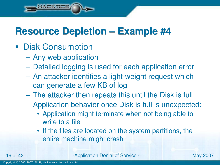Disk Consumption

TERTIES

- Any web application
- Detailed logging is used for each application error
- An attacker identifies a light-weight request which can generate a few KB of log
- The attacker then repeats this until the Disk is full
- Application behavior once Disk is full is unexpected:
	- Application might terminate when not being able towrite to a file
	- If the files are located on the system partitions, the entire machine might crash

**Application Denial of Service - May 2007**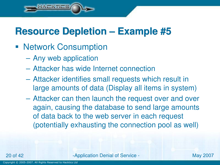Network Consumption

**TENTILE** 

- Any web application
- Attacker has wide Internet connection
- Attacker identifies small requests which result inlarge amounts of data (Display all items in system)
- Attacker can then launch the request over and overagain, causing the database to send large amounts of data back to the web server in each request (potentially exhausting the connection pool as well)

20 of 42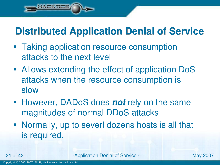## **Distributed Application Denial of Service**

- **Taking application resource consumption** attacks to the next level
- Allows extending the effect of application DoSattacks when the resource consumption is slow
- However, DADoS does **not** rely on the same magnitudes of normal DDoS attacks
- Normally, up to severl dozens hosts is all that is required.

**Application Denial of Service - May 2007** 

 $-0.11$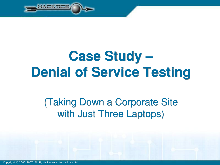

## **Case Study –Denial of Service Testing**

## (Taking Down a Corporate Site with Just Three Laptops)

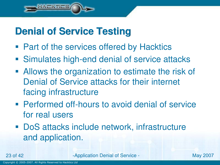

## **Denial of Service Testing**

- Part of the services offered by Hacktics
- **Simulates high-end denial of service attacks**
- **Allows the organization to estimate the risk of** Denial of Service attacks for their internet facing infrastructure
- **Performed off-hours to avoid denial of service** for real users
- DoS attacks include network, infrastructure and application.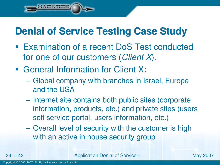## **Denial of Service Testing Case Study**

- Examination of a recent DoS Test conducted for one of our customers (Client X).
- General Information for Client X:

 $F = F \cup F$ 

- Global company with branches in Israel, Europe and the USA
- Internet site contains both public sites (corporate information, products, etc.) and private sites (users self service portal, users information, etc.)
- Overall level of security with the customer is high with an active in house security group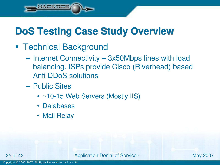## **DoS Testing Case Study Overview**

**Technical Background** 

TERTIES

- Internet Connectivity 3x50Mbps lines with load balancing. ISPs provide Cisco (Riverhead) based Anti DDoS solutions
- **Public Sites** 
	- ~10-15 Web Servers (Mostly IIS)
	- Databases
	- Mail Relay

25 of 42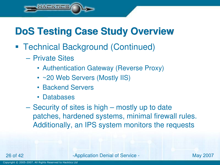## **DoS Testing Case Study Overview**

- Technical Background (Continued)
	- Private Sites

**ALATILS** 

- Authentication Gateway (Reverse Proxy)
- ~20 Web Servers (Mostly IIS)
- Backend Servers
- Databases
- Security of sites is high mostly up to date patches, hardened systems, minimal firewall rules. Additionally, an IPS system monitors the requests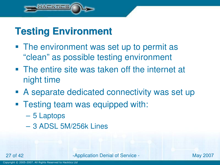

## **Testing Environment**

- The environment was set up to permit as "clean" as possible testing environment
- The entire site was taken off the internet at night time
- A separate dedicated connectivity was set up
- Testing team was equipped with:
	- 5 Laptops
	- 3 ADSL 5M/256k Lines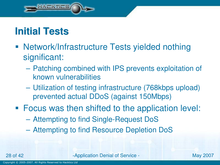

## **Initial Tests**

- Network/Infrastructure Tests yielded nothing significant:
	- Patching combined with IPS prevents exploitation of known vulnerabilities
	- Utilization of testing infrastructure (768kbps upload) prevented actual DDoS (against 150Mbps)
- **Focus was then shifted to the application level:** 
	- Attempting to find Single-Request DoS
	- Attempting to find Resource Depletion DoS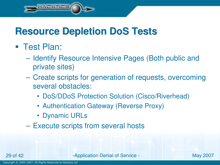### **Resource Depletion DoS Tests**

■ Test Plan:

LATES

- Identify Resource Intensive Pages (Both public andprivate sites)
- Create scripts for generation of requests, overcoming several obstacles:
	- DoS/DDoS Protection Solution (Cisco/Riverhead)
	- Authentication Gateway (Reverse Proxy)
	- Dynamic URLs
- Execute scripts from several hosts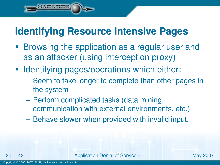## **Identifying Resource Intensive Pages**

- **Browsing the application as a regular user and** as an attacker (using interception proxy)
- **Identifying pages/operations which either:** 
	- Seem to take longer to complete than other pages in the system
	- Perform complicated tasks (data mining, communication with external environments, etc.)
	- Behave slower when provided with invalid input.

**Application Denial of Service - May 2007** 

sta viten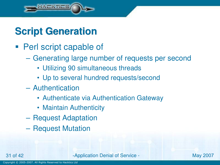

## **Script Generation**

- **Perl script capable of** 
	- Generating large number of requests per second
		- Utilizing 90 simultaneous threads
		- Up to several hundred requests/second
	- Authentication
		- Authenticate via Authentication Gateway
		- Maintain Authenticity
	- Request Adaptation
	- Request Mutation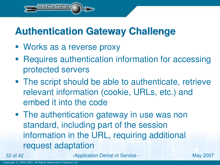## **Authentication Gateway Challenge**

Works as a reverse proxy

**THE REAL PROPERTY** 

- **Requires authentication information for accessing** protected servers
- **The script should be able to authenticate, retrievery** relevant information (cookie, URLs, etc.) and embed it into the code
- The authentication gateway in use was non standard, including part of the session information in the URL, requiring additional request adaptation

of 42 - Application Denial of Service - May <sup>2007</sup>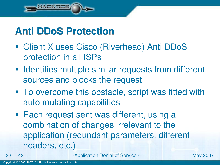

## **Anti DDoS Protection**

- Client X uses Cisco (Riverhead) Anti DDoSprotection in all ISPs
- **IDENT INGLEY IS A LIGAN IN THE STATE SIMILAR FRAGE IS A LIGAN IN THE INCREDUCT n** sources and blocks the request
- To overcome this obstacle, script was fitted with auto mutating capabilities
- **Each request sent was different, using a** combination of changes irrelevant to the application (redundant parameters, different headers, etc.)

33 of 42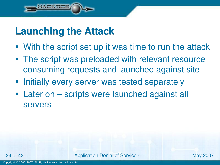

#### **Launching the Attack**

- With the script set up it was time to run the attack
- The script was preloaded with relevant resource consuming requests and launched against site
- **Initially every server was tested separately**
- Later on scripts were launched against all servers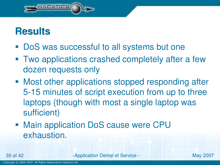

#### **Results**

- DoS was successful to all systems but one
- Two applications crashed completely after a few dozen requests only
- Most other applications stopped responding after 5-15 minutes of script execution from up to three laptops (though with most a single laptop was sufficient)
- Main application DoS cause were CPU exhaustion.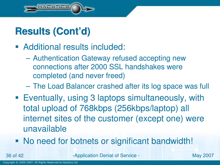

## **Results (Cont'd)**

- Additional results included:
	- Authentication Gateway refused accepting new connections after 2000 SSL handshakes were completed (and never freed)
	- The Load Balancer crashed after its log space was full
- Eventually, using 3 laptops simultaneously, with total upload of 768kbps (256kbps/laptop) all internet sites of the customer (except one) were unavailable
- No need for botnets or significant bandwidth!

**Application Denial of Service - May 2007**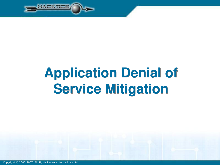

## **Application Denial of Service Mitigation**

Copyright © 2005-2007. All Rights Reserved to Hacktics Ltd.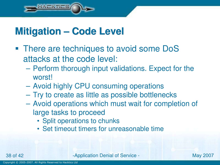

## **Mitigation – Code Level**

- **There are techniques to avoid some DoS** attacks at the code level:
	- Perform thorough input validations. Expect for theworst!
	- Avoid highly CPU consuming operations
	- Try to create as little as possible bottlenecks
	- Avoid operations which must wait for completion of large tasks to proceed
		- Split operations to chunks
		- Set timeout timers for unreasonable time

**Application Denial of Service - May 2007**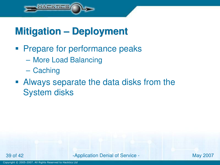

## **Mitigation – Deployment**

- **Prepare for performance peaks** 
	- More Load Balancing
	- **Caching**
- Always separate the data disks from the System disks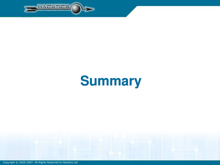

## **Summary**

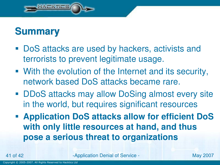

#### **Summary**

- DoS attacks are used by hackers, activists and terrorists to prevent legitimate usage.
- With the evolution of the Internet and its security, network based DoS attacks became rare.
- DDoS attacks may allow DoSing almost every site in the world, but requires significant resources
- **Application DoS attacks allow for efficient DoSwith only little resources at hand, and thus pose a serious threat to organizations**